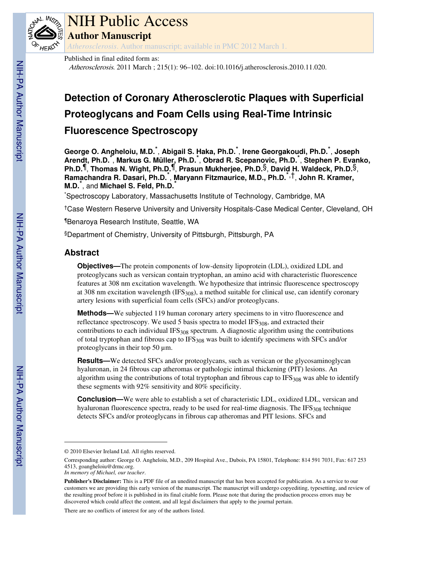

# NIH Public Access

**Author Manuscript**

*Atherosclerosis*. Author manuscript; available in PMC 2012 March 1.

Published in final edited form as:

Atherosclerosis. 2011 March ; 215(1): 96–102. doi:10.1016/j.atherosclerosis.2010.11.020.

# **Detection of Coronary Atherosclerotic Plaques with Superficial Proteoglycans and Foam Cells using Real-Time Intrinsic**

# **Fluorescence Spectroscopy**

**George O. Angheloiu, M.D.**\* , **Abigail S. Haka, Ph.D.**\* , **Irene Georgakoudi, Ph.D.**\* , **Joseph Arendt, Ph.D.**\* , **Markus G. Müller, Ph.D.**\* , **Obrad R. Scepanovic, Ph.D.**\* , **Stephen P. Evanko, Ph.D.**¶, **Thomas N. Wight, Ph.D.**¶, **Prasun Mukherjee, Ph.D.**§, **David H. Waldeck, Ph.D.**§, **Ramachandra R. Dasari, Ph.D.**\* , **Maryann Fitzmaurice, M.D., Ph.D.**\*,†, **John R. Kramer, M.D.**\* , and **Michael S. Feld, Ph.D.**\*

\*Spectroscopy Laboratory, Massachusetts Institute of Technology, Cambridge, MA

†Case Western Reserve University and University Hospitals-Case Medical Center, Cleveland, OH

¶Benaroya Research Institute, Seattle, WA

§Department of Chemistry, University of Pittsburgh, Pittsburgh, PA

# **Abstract**

**Objectives—**The protein components of low-density lipoprotein (LDL), oxidized LDL and proteoglycans such as versican contain tryptophan, an amino acid with characteristic fluorescence features at 308 nm excitation wavelength. We hypothesize that intrinsic fluorescence spectroscopy at 308 nm excitation wavelength (IFS<sub>308</sub>), a method suitable for clinical use, can identify coronary artery lesions with superficial foam cells (SFCs) and/or proteoglycans.

**Methods—**We subjected 119 human coronary artery specimens to in vitro fluorescence and reflectance spectroscopy. We used 5 basis spectra to model  $IFS<sub>308</sub>$ , and extracted their contributions to each individual IFS $_{308}$  spectrum. A diagnostic algorithm using the contributions of total tryptophan and fibrous cap to  $IFS_{308}$  was built to identify specimens with SFCs and/or proteoglycans in their top 50  $\mu$ m.

**Results—**We detected SFCs and/or proteoglycans, such as versican or the glycosaminoglycan hyaluronan, in 24 fibrous cap atheromas or pathologic intimal thickening (PIT) lesions. An algorithm using the contributions of total tryptophan and fibrous cap to  $IFS_{308}$  was able to identify these segments with 92% sensitivity and 80% specificity.

**Conclusion—**We were able to establish a set of characteristic LDL, oxidized LDL, versican and hyaluronan fluorescence spectra, ready to be used for real-time diagnosis. The  $IFS<sub>308</sub>$  technique detects SFCs and/or proteoglycans in fibrous cap atheromas and PIT lesions. SFCs and

*In memory of Michael, our teacher*.

There are no conflicts of interest for any of the authors listed.

<sup>© 2010</sup> Elsevier Ireland Ltd. All rights reserved.

Corresponding author: George O. Angheloiu, M.D., 209 Hospital Ave., Dubois, PA 15801, Telephone: 814 591 7031, Fax: 617 253 4513, goangheloiu@drmc.org.

**Publisher's Disclaimer:** This is a PDF file of an unedited manuscript that has been accepted for publication. As a service to our customers we are providing this early version of the manuscript. The manuscript will undergo copyediting, typesetting, and review of the resulting proof before it is published in its final citable form. Please note that during the production process errors may be discovered which could affect the content, and all legal disclaimers that apply to the journal pertain.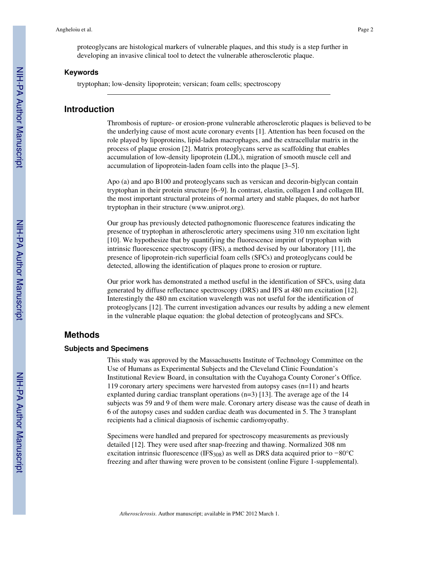proteoglycans are histological markers of vulnerable plaques, and this study is a step further in developing an invasive clinical tool to detect the vulnerable atherosclerotic plaque.

#### **Keywords**

tryptophan; low-density lipoprotein; versican; foam cells; spectroscopy

### **Introduction**

Thrombosis of rupture- or erosion-prone vulnerable atherosclerotic plaques is believed to be the underlying cause of most acute coronary events [1]. Attention has been focused on the role played by lipoproteins, lipid-laden macrophages, and the extracellular matrix in the process of plaque erosion [2]. Matrix proteoglycans serve as scaffolding that enables accumulation of low-density lipoprotein (LDL), migration of smooth muscle cell and accumulation of lipoprotein-laden foam cells into the plaque [3–5].

Apo (a) and apo B100 and proteoglycans such as versican and decorin-biglycan contain tryptophan in their protein structure [6–9]. In contrast, elastin, collagen I and collagen III, the most important structural proteins of normal artery and stable plaques, do not harbor tryptophan in their structure (www.uniprot.org).

Our group has previously detected pathognomonic fluorescence features indicating the presence of tryptophan in atherosclerotic artery specimens using 310 nm excitation light [10]. We hypothesize that by quantifying the fluorescence imprint of tryptophan with intrinsic fluorescence spectroscopy (IFS), a method devised by our laboratory [11], the presence of lipoprotein-rich superficial foam cells (SFCs) and proteoglycans could be detected, allowing the identification of plaques prone to erosion or rupture.

Our prior work has demonstrated a method useful in the identification of SFCs, using data generated by diffuse reflectance spectroscopy (DRS) and IFS at 480 nm excitation [12]. Interestingly the 480 nm excitation wavelength was not useful for the identification of proteoglycans [12]. The current investigation advances our results by adding a new element in the vulnerable plaque equation: the global detection of proteoglycans and SFCs.

# **Methods**

#### **Subjects and Specimens**

This study was approved by the Massachusetts Institute of Technology Committee on the Use of Humans as Experimental Subjects and the Cleveland Clinic Foundation's Institutional Review Board, in consultation with the Cuyahoga County Coroner's Office. 119 coronary artery specimens were harvested from autopsy cases (n=11) and hearts explanted during cardiac transplant operations  $(n=3)$  [13]. The average age of the 14 subjects was 59 and 9 of them were male. Coronary artery disease was the cause of death in 6 of the autopsy cases and sudden cardiac death was documented in 5. The 3 transplant recipients had a clinical diagnosis of ischemic cardiomyopathy.

Specimens were handled and prepared for spectroscopy measurements as previously detailed [12]. They were used after snap-freezing and thawing. Normalized 308 nm excitation intrinsic fluorescence (IFS<sub>308</sub>) as well as DRS data acquired prior to −80°C freezing and after thawing were proven to be consistent (online Figure 1-supplemental).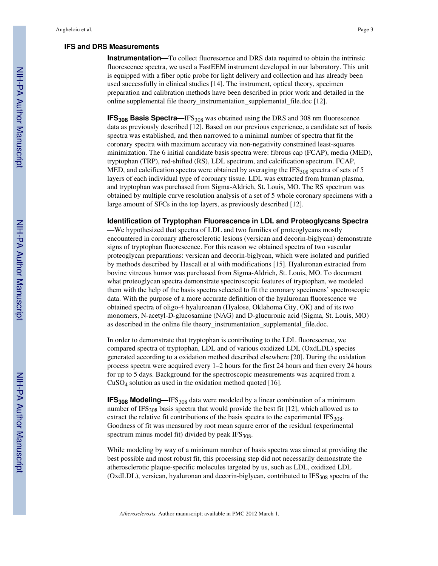#### **IFS and DRS Measurements**

**Instrumentation—**To collect fluorescence and DRS data required to obtain the intrinsic fluorescence spectra, we used a FastEEM instrument developed in our laboratory. This unit is equipped with a fiber optic probe for light delivery and collection and has already been used successfully in clinical studies [14]. The instrument, optical theory, specimen preparation and calibration methods have been described in prior work and detailed in the online supplemental file theory\_instrumentation\_supplemental\_file.doc [12].

**IFS<sub>308</sub>** Basis Spectra—IFS<sub>308</sub> was obtained using the DRS and 308 nm fluorescence data as previously described [12]. Based on our previous experience, a candidate set of basis spectra was established, and then narrowed to a minimal number of spectra that fit the coronary spectra with maximum accuracy via non-negativity constrained least-squares minimization. The 6 initial candidate basis spectra were: fibrous cap (FCAP), media (MED), tryptophan (TRP), red-shifted (RS), LDL spectrum, and calcification spectrum. FCAP, MED, and calcification spectra were obtained by averaging the  $IFS<sub>308</sub>$  spectra of sets of 5 layers of each individual type of coronary tissue. LDL was extracted from human plasma, and tryptophan was purchased from Sigma-Aldrich, St. Louis, MO. The RS spectrum was obtained by multiple curve resolution analysis of a set of 5 whole coronary specimens with a large amount of SFCs in the top layers, as previously described [12].

#### **Identification of Tryptophan Fluorescence in LDL and Proteoglycans Spectra**

**—**We hypothesized that spectra of LDL and two families of proteoglycans mostly encountered in coronary atherosclerotic lesions (versican and decorin-biglycan) demonstrate signs of tryptophan fluorescence. For this reason we obtained spectra of two vascular proteoglycan preparations: versican and decorin-biglycan, which were isolated and purified by methods described by Hascall et al with modifications [15]. Hyaluronan extracted from bovine vitreous humor was purchased from Sigma-Aldrich, St. Louis, MO. To document what proteoglycan spectra demonstrate spectroscopic features of tryptophan, we modeled them with the help of the basis spectra selected to fit the coronary specimens' spectroscopic data. With the purpose of a more accurate definition of the hyaluronan fluorescence we obtained spectra of oligo-4 hyaluroanan (Hyalose, Oklahoma City, OK) and of its two monomers, N-acetyl-D-glucosamine (NAG) and D-glucuronic acid (Sigma, St. Louis, MO) as described in the online file theory instrumentation supplemental file.doc.

In order to demonstrate that tryptophan is contributing to the LDL fluorescence, we compared spectra of tryptophan, LDL and of various oxidized LDL (OxdLDL) species generated according to a oxidation method described elsewhere [20]. During the oxidation process spectra were acquired every 1–2 hours for the first 24 hours and then every 24 hours for up to 5 days. Background for the spectroscopic measurements was acquired from a  $CuSO<sub>4</sub>$  solution as used in the oxidation method quoted [16].

**IFS<sub>308</sub>** Modeling—IFS<sub>308</sub> data were modeled by a linear combination of a minimum number of IFS $_{308}$  basis spectra that would provide the best fit [12], which allowed us to extract the relative fit contributions of the basis spectra to the experimental  $IFS_{308}$ . Goodness of fit was measured by root mean square error of the residual (experimental spectrum minus model fit) divided by peak  $IFS_{308}$ .

While modeling by way of a minimum number of basis spectra was aimed at providing the best possible and most robust fit, this processing step did not necessarily demonstrate the atherosclerotic plaque-specific molecules targeted by us, such as LDL, oxidized LDL (OxdLDL), versican, hyaluronan and decorin-biglycan, contributed to  $IFS<sub>308</sub>$  spectra of the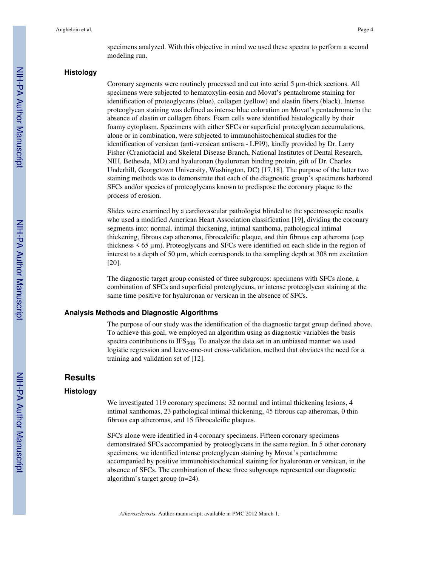specimens analyzed. With this objective in mind we used these spectra to perform a second modeling run.

#### **Histology**

Coronary segments were routinely processed and cut into serial 5 µm-thick sections. All specimens were subjected to hematoxylin-eosin and Movat's pentachrome staining for identification of proteoglycans (blue), collagen (yellow) and elastin fibers (black). Intense proteoglycan staining was defined as intense blue coloration on Movat's pentachrome in the absence of elastin or collagen fibers. Foam cells were identified histologically by their foamy cytoplasm. Specimens with either SFCs or superficial proteoglycan accumulations, alone or in combination, were subjected to immunohistochemical studies for the identification of versican (anti-versican antisera - LF99), kindly provided by Dr. Larry Fisher (Craniofacial and Skeletal Disease Branch, National Institutes of Dental Research, NIH, Bethesda, MD) and hyaluronan (hyaluronan binding protein, gift of Dr. Charles Underhill, Georgetown University, Washington, DC) [17,18]. The purpose of the latter two staining methods was to demonstrate that each of the diagnostic group's specimens harbored SFCs and/or species of proteoglycans known to predispose the coronary plaque to the process of erosion.

Slides were examined by a cardiovascular pathologist blinded to the spectroscopic results who used a modified American Heart Association classification [19], dividing the coronary segments into: normal, intimal thickening, intimal xanthoma, pathological intimal thickening, fibrous cap atheroma, fibrocalcific plaque, and thin fibrous cap atheroma (cap thickness < 65 µm). Proteoglycans and SFCs were identified on each slide in the region of interest to a depth of 50 µm, which corresponds to the sampling depth at 308 nm excitation [20].

The diagnostic target group consisted of three subgroups: specimens with SFCs alone, a combination of SFCs and superficial proteoglycans, or intense proteoglycan staining at the same time positive for hyaluronan or versican in the absence of SFCs.

#### **Analysis Methods and Diagnostic Algorithms**

The purpose of our study was the identification of the diagnostic target group defined above. To achieve this goal, we employed an algorithm using as diagnostic variables the basis spectra contributions to  $IFS_{308}$ . To analyze the data set in an unbiased manner we used logistic regression and leave-one-out cross-validation, method that obviates the need for a training and validation set of [12].

## **Results**

#### **Histology**

We investigated 119 coronary specimens: 32 normal and intimal thickening lesions, 4 intimal xanthomas, 23 pathological intimal thickening, 45 fibrous cap atheromas, 0 thin fibrous cap atheromas, and 15 fibrocalcific plaques.

SFCs alone were identified in 4 coronary specimens. Fifteen coronary specimens demonstrated SFCs accompanied by proteoglycans in the same region. In 5 other coronary specimens, we identified intense proteoglycan staining by Movat's pentachrome accompanied by positive immunohistochemical staining for hyaluronan or versican, in the absence of SFCs. The combination of these three subgroups represented our diagnostic algorithm's target group (n=24).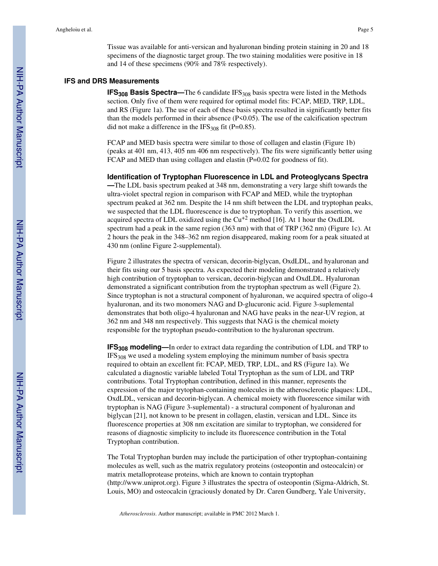Tissue was available for anti-versican and hyaluronan binding protein staining in 20 and 18 specimens of the diagnostic target group. The two staining modalities were positive in 18 and 14 of these specimens (90% and 78% respectively).

#### **IFS and DRS Measurements**

**IFS<sub>308</sub> Basis Spectra—The 6 candidate IFS<sub>308</sub> basis spectra were listed in the Methods** section. Only five of them were required for optimal model fits: FCAP, MED, TRP, LDL, and RS (Figure 1a). The use of each of these basis spectra resulted in significantly better fits than the models performed in their absence  $(P< 0.05)$ . The use of the calcification spectrum did not make a difference in the IFS<sub>308</sub> fit (P=0.85).

FCAP and MED basis spectra were similar to those of collagen and elastin (Figure 1b) (peaks at 401 nm, 413, 405 nm 406 nm respectively). The fits were significantly better using FCAP and MED than using collagen and elastin (P=0.02 for goodness of fit).

**Identification of Tryptophan Fluorescence in LDL and Proteoglycans Spectra**

**—**The LDL basis spectrum peaked at 348 nm, demonstrating a very large shift towards the ultra-violet spectral region in comparison with FCAP and MED, while the tryptophan spectrum peaked at 362 nm. Despite the 14 nm shift between the LDL and tryptophan peaks, we suspected that the LDL fluorescence is due to tryptophan. To verify this assertion, we acquired spectra of LDL oxidized using the  $Cu<sup>+2</sup>$  method [16]. At 1 hour the OxdLDL spectrum had a peak in the same region (363 nm) with that of TRP (362 nm) (Figure 1c). At 2 hours the peak in the 348–362 nm region disappeared, making room for a peak situated at 430 nm (online Figure 2-supplemental).

Figure 2 illustrates the spectra of versican, decorin-biglycan, OxdLDL, and hyaluronan and their fits using our 5 basis spectra. As expected their modeling demonstrated a relatively high contribution of tryptophan to versican, decorin-biglycan and OxdLDL. Hyaluronan demonstrated a significant contribution from the tryptophan spectrum as well (Figure 2). Since tryptophan is not a structural component of hyaluronan, we acquired spectra of oligo-4 hyaluronan, and its two monomers NAG and D-glucuronic acid. Figure 3-suplemental demonstrates that both oligo-4 hyaluronan and NAG have peaks in the near-UV region, at 362 nm and 348 nm respectively. This suggests that NAG is the chemical moiety responsible for the tryptophan pseudo-contribution to the hyaluronan spectrum.

**IFS308 modeling—**In order to extract data regarding the contribution of LDL and TRP to IFS308 we used a modeling system employing the minimum number of basis spectra required to obtain an excellent fit: FCAP, MED, TRP, LDL, and RS (Figure 1a). We calculated a diagnostic variable labeled Total Tryptophan as the sum of LDL and TRP contributions. Total Tryptophan contribution, defined in this manner, represents the expression of the major trytophan-containing molecules in the atherosclerotic plaques: LDL, OxdLDL, versican and decorin-biglycan. A chemical moiety with fluorescence similar with tryptophan is NAG (Figure 3-suplemental) - a structural component of hyaluronan and biglycan [21], not known to be present in collagen, elastin, versican and LDL. Since its fluorescence properties at 308 nm excitation are similar to tryptophan, we considered for reasons of diagnostic simplicity to include its fluorescence contribution in the Total Tryptophan contribution.

The Total Tryptophan burden may include the participation of other tryptophan-containing molecules as well, such as the matrix regulatory proteins (osteopontin and osteocalcin) or matrix metalloprotease proteins, which are known to contain tryptophan (http://www.uniprot.org). Figure 3 illustrates the spectra of osteopontin (Sigma-Aldrich, St. Louis, MO) and osteocalcin (graciously donated by Dr. Caren Gundberg, Yale University,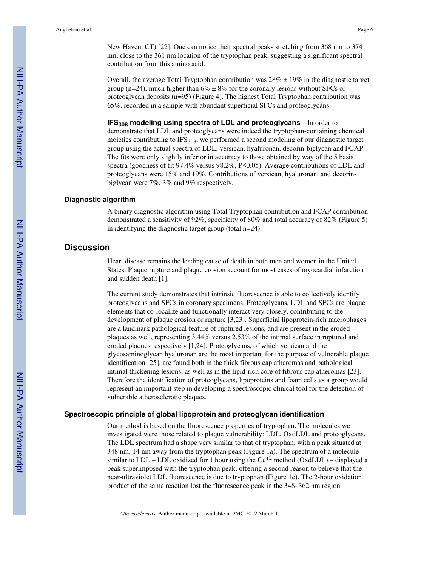New Haven, CT) [22]. One can notice their spectral peaks stretching from 368 nm to 374 nm, close to the 361 nm location of the tryptophan peak, suggesting a significant spectral contribution from this amino acid.

Overall, the average Total Tryptophan contribution was  $28\% \pm 19\%$  in the diagnostic target group (n=24), much higher than  $6\% \pm 8\%$  for the coronary lesions without SFCs or proteoglycan deposits (n=95) (Figure 4). The highest Total Tryptophan contribution was 65%, recorded in a sample with abundant superficial SFCs and proteoglycans.

**IFS308 modeling using spectra of LDL and proteoglycans—**In order to demonstrate that LDL and proteoglycans were indeed the tryptophan-containing chemical moieties contributing to  $IFS_{308}$ , we performed a second modeling of our diagnostic target group using the actual spectra of LDL, versican, hyaluronan, decorin-biglycan and FCAP. The fits were only slightly inferior in accuracy to those obtained by way of the 5 basis spectra (goodness of fit 97.4% versus 98.2%, P<0.05). Average contributions of LDL and proteoglycans were 15% and 19%. Contributions of versican, hyaluronan, and decorinbiglycan were 7%, 3% and 9% respectively.

#### **Diagnostic algorithm**

A binary diagnostic algorithm using Total Tryptophan contribution and FCAP contribution demonstrated a sensitivity of 92%, specificity of 80% and total accuracy of 82% (Figure 5) in identifying the diagnostic target group (total n=24).

# **Discussion**

Heart disease remains the leading cause of death in both men and women in the United States. Plaque rupture and plaque erosion account for most cases of myocardial infarction and sudden death [1].

The current study demonstrates that intrinsic fluorescence is able to collectively identify proteoglycans and SFCs in coronary specimens. Proteoglycans, LDL and SFCs are plaque elements that co-localize and functionally interact very closely, contributing to the development of plaque erosion or rupture [3,23]. Superficial lipoprotein-rich macrophages are a landmark pathological feature of ruptured lesions, and are present in the eroded plaques as well, representing 3.44% versus 2.53% of the intimal surface in ruptured and eroded plaques respectively [1,24]. Proteoglycans, of which versican and the glycosaminoglycan hyaluronan are the most important for the purpose of vulnerable plaque identification [25], are found both in the thick fibrous cap atheromas and pathological intimal thickening lesions, as well as in the lipid-rich core of fibrous cap atheromas [23]. Therefore the identification of proteoglycans, lipoproteins and foam cells as a group would represent an important step in developing a spectroscopic clinical tool for the detection of vulnerable atherosclerotic plaques.

#### **Spectroscopic principle of global lipoprotein and proteoglycan identification**

Our method is based on the fluorescence properties of tryptophan. The molecules we investigated were those related to plaque vulnerability: LDL, OxdLDL and proteoglycans. The LDL spectrum had a shape very similar to that of tryptophan, with a peak situated at 348 nm, 14 nm away from the tryptophan peak (Figure 1a). The spectrum of a molecule similar to  $LDL$  –  $LDL$  oxidized for 1 hour using the  $Cu$ <sup>+2</sup> method (OxdLDL) – displayed a peak superimposed with the tryptophan peak, offering a second reason to believe that the near-ultraviolet LDL fluorescence is due to tryptophan (Figure 1c). The 2-hour oxidation product of the same reaction lost the fluorescence peak in the 348–362 nm region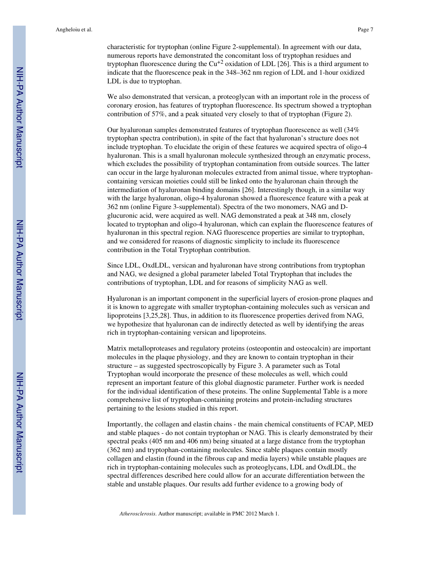characteristic for tryptophan (online Figure 2-supplemental). In agreement with our data, numerous reports have demonstrated the concomitant loss of tryptophan residues and tryptophan fluorescence during the  $Cu^{+2}$  oxidation of LDL [26]. This is a third argument to indicate that the fluorescence peak in the 348–362 nm region of LDL and 1-hour oxidized LDL is due to tryptophan.

We also demonstrated that versican, a proteoglycan with an important role in the process of coronary erosion, has features of tryptophan fluorescence. Its spectrum showed a tryptophan contribution of 57%, and a peak situated very closely to that of tryptophan (Figure 2).

Our hyaluronan samples demonstrated features of tryptophan fluorescence as well (34% tryptophan spectra contribution), in spite of the fact that hyaluronan's structure does not include tryptophan. To elucidate the origin of these features we acquired spectra of oligo-4 hyaluronan. This is a small hyaluronan molecule synthesized through an enzymatic process, which excludes the possibility of tryptophan contamination from outside sources. The latter can occur in the large hyaluronan molecules extracted from animal tissue, where tryptophancontaining versican moieties could still be linked onto the hyaluronan chain through the intermediation of hyaluronan binding domains [26]. Interestingly though, in a similar way with the large hyaluronan, oligo-4 hyaluronan showed a fluorescence feature with a peak at 362 nm (online Figure 3-supplemental). Spectra of the two monomers, NAG and Dglucuronic acid, were acquired as well. NAG demonstrated a peak at 348 nm, closely located to tryptophan and oligo-4 hyaluronan, which can explain the fluorescence features of hyaluronan in this spectral region. NAG fluorescence properties are similar to tryptophan, and we considered for reasons of diagnostic simplicity to include its fluorescence contribution in the Total Tryptophan contribution.

Since LDL, OxdLDL, versican and hyaluronan have strong contributions from tryptophan and NAG, we designed a global parameter labeled Total Tryptophan that includes the contributions of tryptophan, LDL and for reasons of simplicity NAG as well.

Hyaluronan is an important component in the superficial layers of erosion-prone plaques and it is known to aggregate with smaller tryptophan-containing molecules such as versican and lipoproteins [3,25,28]. Thus, in addition to its fluorescence properties derived from NAG, we hypothesize that hyaluronan can de indirectly detected as well by identifying the areas rich in tryptophan-containing versican and lipoproteins.

Matrix metalloproteases and regulatory proteins (osteopontin and osteocalcin) are important molecules in the plaque physiology, and they are known to contain tryptophan in their structure – as suggested spectroscopically by Figure 3. A parameter such as Total Tryptophan would incorporate the presence of these molecules as well, which could represent an important feature of this global diagnostic parameter. Further work is needed for the individual identification of these proteins. The online Supplemental Table is a more comprehensive list of tryptophan-containing proteins and protein-including structures pertaining to the lesions studied in this report.

Importantly, the collagen and elastin chains - the main chemical constituents of FCAP, MED and stable plaques - do not contain tryptophan or NAG. This is clearly demonstrated by their spectral peaks (405 nm and 406 nm) being situated at a large distance from the tryptophan (362 nm) and tryptophan-containing molecules. Since stable plaques contain mostly collagen and elastin (found in the fibrous cap and media layers) while unstable plaques are rich in tryptophan-containing molecules such as proteoglycans, LDL and OxdLDL, the spectral differences described here could allow for an accurate differentiation between the stable and unstable plaques. Our results add further evidence to a growing body of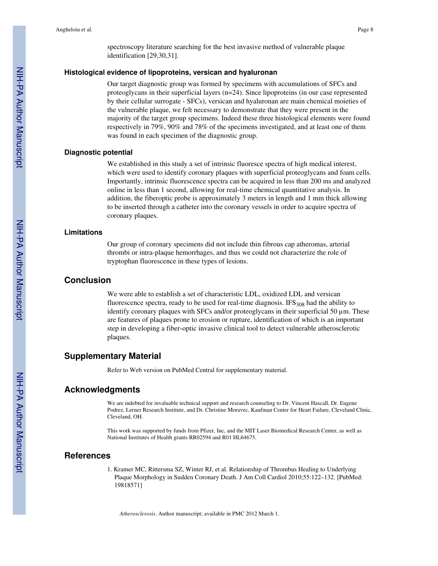spectroscopy literature searching for the best invasive method of vulnerable plaque identification [29,30,31].

#### **Histological evidence of lipoproteins, versican and hyaluronan**

Our target diagnostic group was formed by specimens with accumulations of SFCs and proteoglycans in their superficial layers (n=24). Since lipoproteins (in our case represented by their cellular surrogate - SFCs), versican and hyaluronan are main chemical moieties of the vulnerable plaque, we felt necessary to demonstrate that they were present in the majority of the target group specimens. Indeed these three histological elements were found respectively in 79%, 90% and 78% of the specimens investigated, and at least one of them was found in each specimen of the diagnostic group.

#### **Diagnostic potential**

We established in this study a set of intrinsic fluoresce spectra of high medical interest, which were used to identify coronary plaques with superficial proteoglycans and foam cells. Importantly, intrinsic fluorescence spectra can be acquired in less than 200 ms and analyzed online in less than 1 second, allowing for real-time chemical quantitative analysis. In addition, the fiberoptic probe is approximately 3 meters in length and 1 mm thick allowing to be inserted through a catheter into the coronary vessels in order to acquire spectra of coronary plaques.

#### **Limitations**

Our group of coronary specimens did not include thin fibrous cap atheromas, arterial thrombi or intra-plaque hemorrhages, and thus we could not characterize the role of tryptophan fluorescence in these types of lesions.

## **Conclusion**

We were able to establish a set of characteristic LDL, oxidized LDL and versican fluorescence spectra, ready to be used for real-time diagnosis.  $IFS_{308}$  had the ability to identify coronary plaques with SFCs and/or proteoglycans in their superficial 50 µm. These are features of plaques prone to erosion or rupture, identification of which is an important step in developing a fiber-optic invasive clinical tool to detect vulnerable atherosclerotic plaques.

#### **Supplementary Material**

Refer to Web version on PubMed Central for supplementary material.

### **Acknowledgments**

We are indebted for invaluable technical support and research counseling to Dr. Vincent Hascall, Dr. Eugene Podrez, Lerner Research Institute, and Dr. Christine Moravec, Kaufman Center for Heart Failure, Cleveland Clinic, Cleveland, OH.

This work was supported by funds from Pfizer, Inc, and the MIT Laser Biomedical Research Center, as well as National Institutes of Health grants RR02594 and R01 HL64675.

# **References**

1. Kramer MC, Rittersma SZ, Winter RJ, et al. Relationship of Thrombus Healing to Underlying Plaque Morphology in Sudden Coronary Death. J Am Coll Cardiol 2010;55:122–132. [PubMed: 19818571]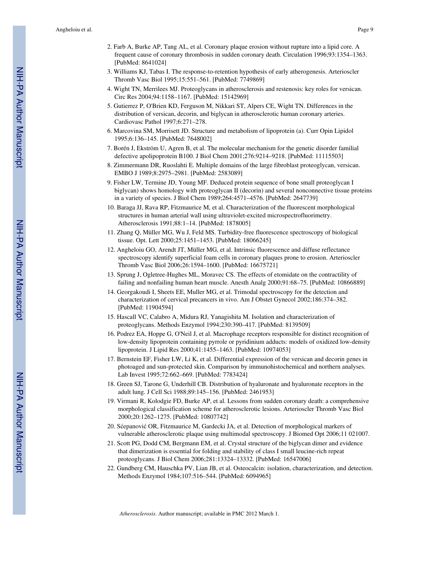- 2. Farb A, Burke AP, Tang AL, et al. Coronary plaque erosion without rupture into a lipid core. A frequent cause of coronary thrombosis in sudden coronary death. Circulation 1996;93:1354–1363. [PubMed: 8641024]
- 3. Williams KJ, Tabas I. The response-to-retention hypothesis of early atherogenesis. Arterioscler Thromb Vasc Biol 1995;15:551–561. [PubMed: 7749869]
- 4. Wight TN, Merrilees MJ. Proteoglycans in atherosclerosis and restenosis: key roles for versican. Circ Res 2004;94:1158–1167. [PubMed: 15142969]
- 5. Gutierrez P, O'Brien KD, Ferguson M, Nikkari ST, Alpers CE, Wight TN. Differences in the distribution of versican, decorin, and biglycan in atherosclerotic human coronary arteries. Cardiovasc Pathol 1997;6:271–278.
- 6. Marcovina SM, Morrisett JD. Structure and metabolism of lipoprotein (a). Curr Opin Lipidol 1995;6:136–145. [PubMed: 7648002]
- 7. Borén J, Ekström U, Agren B, et al. The molecular mechanism for the genetic disorder familial defective apolipoprotein B100. J Biol Chem 2001;276:9214–9218. [PubMed: 11115503]
- 8. Zimmermann DR, Ruoslahti E. Multiple domains of the large fibroblast proteoglycan, versican. EMBO J 1989;8:2975–2981. [PubMed: 2583089]
- 9. Fisher LW, Termine JD, Young MF. Deduced protein sequence of bone small proteoglycan I biglycan) shows homology with proteoglycan II (decorin) and several nonconnective tissue proteins in a variety of species. J Biol Chem 1989;264:4571–4576. [PubMed: 2647739]
- 10. Baraga JJ, Rava RP, Fitzmaurice M, et al. Characterization of the fluorescent morphological structures in human arterial wall using ultraviolet-excited microspectrofluorimetry. Atherosclerosis 1991;88:1–14. [PubMed: 1878005]
- 11. Zhang Q, Müller MG, Wu J, Feld MS. Turbidity-free fluorescence spectroscopy of biological tissue. Opt. Lett 2000;25:1451–1453. [PubMed: 18066245]
- 12. Angheloiu GO, Arendt JT, Müller MG, et al. Intrinsic fluorescence and diffuse reflectance spectroscopy identify superficial foam cells in coronary plaques prone to erosion. Arterioscler Thromb Vasc Biol 2006;26:1594–1600. [PubMed: 16675721]
- 13. Sprung J, Ogletree-Hughes ML, Moravec CS. The effects of etomidate on the contractility of failing and nonfailing human heart muscle. Anesth Analg 2000;91:68–75. [PubMed: 10866889]
- 14. Georgakoudi I, Sheets EE, Muller MG, et al. Trimodal spectroscopy for the detection and characterization of cervical precancers in vivo. Am J Obstet Gynecol 2002;186:374–382. [PubMed: 11904594]
- 15. Hascall VC, Calabro A, Midura RJ, Yanagishita M. Isolation and characterization of proteoglycans. Methods Enzymol 1994;230:390–417. [PubMed: 8139509]
- 16. Podrez EA, Hoppe G, O'Neil J, et al. Macrophage receptors responsible for distinct recognition of low-density lipoprotein containing pyrrole or pyridinium adducts: models of oxidized low-density lipoprotein. J Lipid Res 2000;41:1455–1463. [PubMed: 10974053]
- 17. Bernstein EF, Fisher LW, Li K, et al. Differential expression of the versican and decorin genes in photoaged and sun-protected skin. Comparison by immunohistochemical and northern analyses. Lab Invest 1995;72:662–669. [PubMed: 7783424]
- 18. Green SJ, Tarone G, Underhill CB. Distribution of hyaluronate and hyaluronate receptors in the adult lung. J Cell Sci 1988;89:145–156. [PubMed: 2461953]
- 19. Virmani R, Kolodgie FD, Burke AP, et al. Lessons from sudden coronary death: a comprehensive morphological classification scheme for atherosclerotic lesions. Arterioscler Thromb Vasc Biol 2000;20:1262–1275. [PubMed: 10807742]
- 20. Sćepanović OR, Fitzmaurice M, Gardecki JA, et al. Detection of morphological markers of vulnerable atherosclerotic plaque using multimodal spectroscopy. J Biomed Opt 2006;11 021007.
- 21. Scott PG, Dodd CM, Bergmann EM, et al. Crystal structure of the biglycan dimer and evidence that dimerization is essential for folding and stability of class I small leucine-rich repeat proteoglycans. J Biol Chem 2006;281:13324–13332. [PubMed: 16547006]
- 22. Gundberg CM, Hauschka PV, Lian JB, et al. Osteocalcin: isolation, characterization, and detection. Methods Enzymol 1984;107:516–544. [PubMed: 6094965]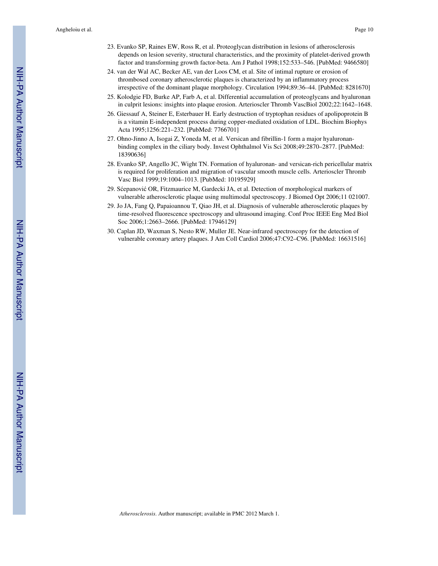- 23. Evanko SP, Raines EW, Ross R, et al. Proteoglycan distribution in lesions of atherosclerosis depends on lesion severity, structural characteristics, and the proximity of platelet-derived growth factor and transforming growth factor-beta. Am J Pathol 1998;152:533–546. [PubMed: 9466580]
- 24. van der Wal AC, Becker AE, van der Loos CM, et al. Site of intimal rupture or erosion of thrombosed coronary atherosclerotic plaques is characterized by an inflammatory process irrespective of the dominant plaque morphology. Circulation 1994;89:36–44. [PubMed: 8281670]
- 25. Kolodgie FD, Burke AP, Farb A, et al. Differential accumulation of proteoglycans and hyaluronan in culprit lesions: insights into plaque erosion. Arterioscler Thromb VascBiol 2002;22:1642–1648.
- 26. Giessauf A, Steiner E, Esterbauer H. Early destruction of tryptophan residues of apolipoprotein B is a vitamin E-independent process during copper-mediated oxidation of LDL. Biochim Biophys Acta 1995;1256:221–232. [PubMed: 7766701]
- 27. Ohno-Jinno A, Isogai Z, Yoneda M, et al. Versican and fibrillin-1 form a major hyaluronanbinding complex in the ciliary body. Invest Ophthalmol Vis Sci 2008;49:2870–2877. [PubMed: 18390636]
- 28. Evanko SP, Angello JC, Wight TN. Formation of hyaluronan- and versican-rich pericellular matrix is required for proliferation and migration of vascular smooth muscle cells. Arterioscler Thromb Vasc Biol 1999;19:1004–1013. [PubMed: 10195929]
- 29. Sćepanović OR, Fitzmaurice M, Gardecki JA, et al. Detection of morphological markers of vulnerable atherosclerotic plaque using multimodal spectroscopy. J Biomed Opt 2006;11 021007.
- 29. Jo JA, Fang Q, Papaioannou T, Qiao JH, et al. Diagnosis of vulnerable atherosclerotic plaques by time-resolved fluorescence spectroscopy and ultrasound imaging. Conf Proc IEEE Eng Med Biol Soc 2006;1:2663–2666. [PubMed: 17946129]
- 30. Caplan JD, Waxman S, Nesto RW, Muller JE. Near-infrared spectroscopy for the detection of vulnerable coronary artery plaques. J Am Coll Cardiol 2006;47:C92–C96. [PubMed: 16631516]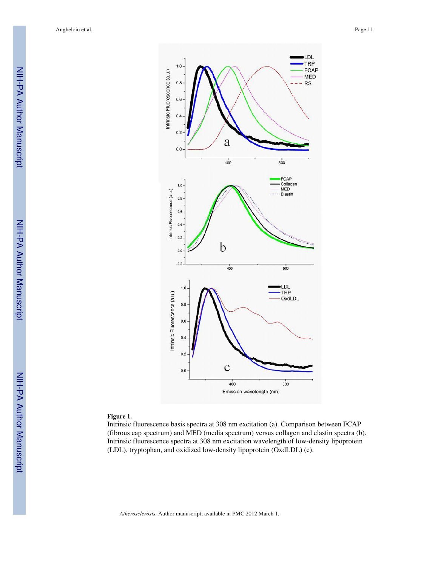

#### **Figure 1.**

Intrinsic fluorescence basis spectra at 308 nm excitation (a). Comparison between FCAP (fibrous cap spectrum) and MED (media spectrum) versus collagen and elastin spectra (b). Intrinsic fluorescence spectra at 308 nm excitation wavelength of low-density lipoprotein (LDL), tryptophan, and oxidized low-density lipoprotein (OxdLDL) (c).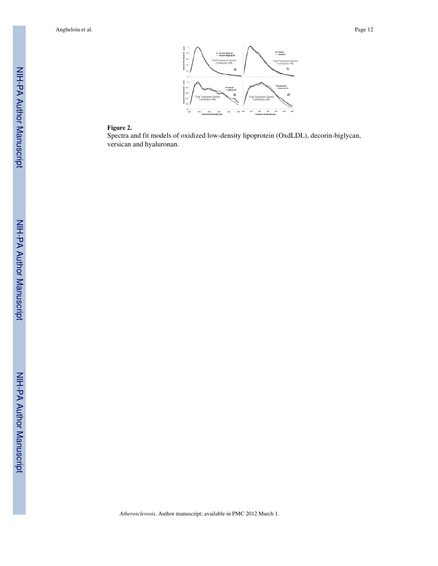Angheloiu et al. Page 12



#### **Figure 2.**

Spectra and fit models of oxidized low-density lipoprotein (OxdLDL), decorin-biglycan, versican and hyaluronan.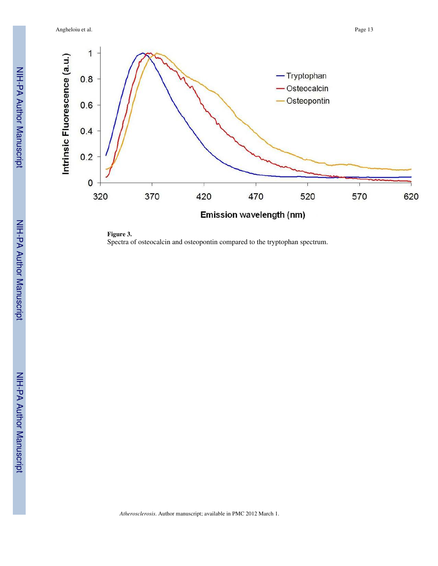Angheloiu et al. Page 13



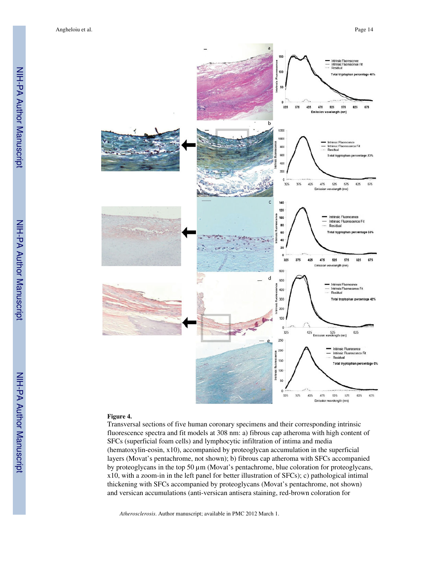

#### **Figure 4.**

Transversal sections of five human coronary specimens and their corresponding intrinsic fluorescence spectra and fit models at 308 nm: a) fibrous cap atheroma with high content of SFCs (superficial foam cells) and lymphocytic infiltration of intima and media (hematoxylin-eosin, x10), accompanied by proteoglycan accumulation in the superficial layers (Movat's pentachrome, not shown); b) fibrous cap atheroma with SFCs accompanied by proteoglycans in the top 50  $\mu$ m (Movat's pentachrome, blue coloration for proteoglycans, x10, with a zoom-in in the left panel for better illustration of SFCs); c) pathological intimal thickening with SFCs accompanied by proteoglycans (Movat's pentachrome, not shown) and versican accumulations (anti-versican antisera staining, red-brown coloration for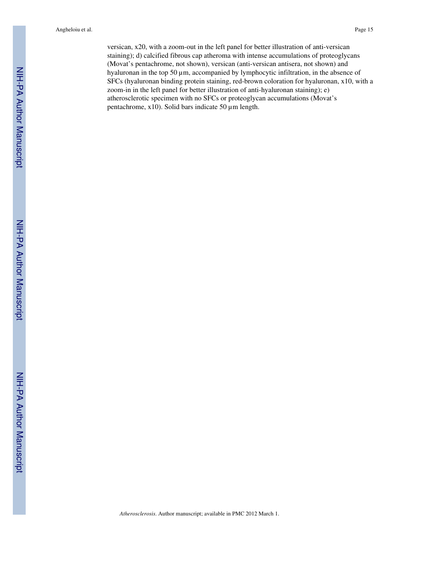Angheloiu et al. Page 15

versican, x20, with a zoom-out in the left panel for better illustration of anti-versican staining); d) calcified fibrous cap atheroma with intense accumulations of proteoglycans (Movat's pentachrome, not shown), versican (anti-versican antisera, not shown) and hyaluronan in the top 50 µm, accompanied by lymphocytic infiltration, in the absence of SFCs (hyaluronan binding protein staining, red-brown coloration for hyaluronan, x10, with a zoom-in in the left panel for better illustration of anti-hyaluronan staining); e) atherosclerotic specimen with no SFCs or proteoglycan accumulations (Movat's pentachrome, x10). Solid bars indicate 50 µm length.